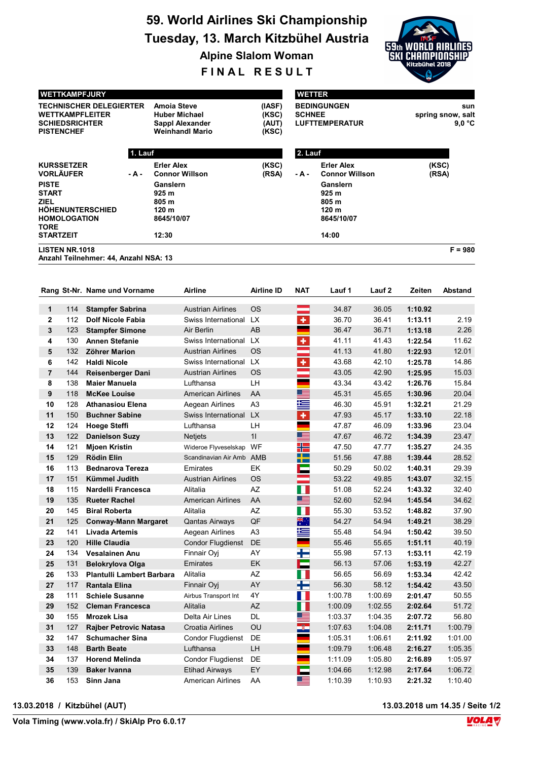# 59. World Airlines Ski Championship Tuesday, 13. March Kitzbühel Austria

Alpine Slalom Woman

FINAL RESULT

| <b>WETTKAMPFJURY</b>                                                                                         |         |                                                                                         |                                   |               | <b>WETTER</b>                                                |                                    |  |  |  |
|--------------------------------------------------------------------------------------------------------------|---------|-----------------------------------------------------------------------------------------|-----------------------------------|---------------|--------------------------------------------------------------|------------------------------------|--|--|--|
| <b>TECHNISCHER DELEGIERTER</b><br><b>WETTKAMPFLEITER</b><br><b>SCHIEDSRICHTER</b><br><b>PISTENCHEF</b>       |         | <b>Amoia Steve</b><br><b>Huber Michael</b><br>Sappl Alexander<br><b>Weinhandl Mario</b> | (IASF)<br>(KSC)<br>(AUT)<br>(KSC) | <b>SCHNEE</b> | <b>BEDINGUNGEN</b><br><b>LUFTTEMPERATUR</b>                  | sun<br>spring snow, salt<br>9.0 °C |  |  |  |
|                                                                                                              | 1. Lauf |                                                                                         |                                   | 2. Lauf       |                                                              |                                    |  |  |  |
| <b>KURSSETZER</b><br><b>VORLÄUFER</b>                                                                        | - A -   | <b>Erler Alex</b><br><b>Connor Willson</b>                                              | (KSC)<br>(RSA)                    | - A -         | <b>Erler Alex</b><br><b>Connor Willson</b>                   | (KSC)<br>(RSA)                     |  |  |  |
| <b>PISTE</b><br><b>START</b><br><b>ZIEL</b><br><b>HÖHENUNTERSCHIED</b><br><b>HOMOLOGATION</b><br><b>TORE</b> |         | Ganslern<br>925 m<br>805 m<br>120 <sub>m</sub><br>8645/10/07                            |                                   |               | Ganslern<br>925 m<br>805 m<br>120 <sub>m</sub><br>8645/10/07 |                                    |  |  |  |
| <b>STARTZEIT</b><br><b>LISTEN NR.1018</b>                                                                    |         | 12:30                                                                                   |                                   |               | 14:00                                                        | $F = 980$                          |  |  |  |
| Anzahl Teilnehmer: 44, Anzahl NSA: 13                                                                        |         |                                                                                         |                                   |               |                                                              |                                    |  |  |  |

|                |     | Rang St-Nr. Name und Vorname     | Airline                  | <b>Airline ID</b> | <b>NAT</b>          | Lauf 1  | Lauf <sub>2</sub> | Zeiten  | Abstand |
|----------------|-----|----------------------------------|--------------------------|-------------------|---------------------|---------|-------------------|---------|---------|
| $\mathbf{1}$   | 114 | <b>Stampfer Sabrina</b>          | <b>Austrian Airlines</b> | <b>OS</b>         |                     | 34.87   | 36.05             | 1:10.92 |         |
| $\mathbf{2}$   | 112 | <b>Dolf Nicole Fabia</b>         | Swiss International LX   |                   | ÷                   | 36.70   | 36.41             | 1:13.11 | 2.19    |
| 3              | 123 | <b>Stampfer Simone</b>           | Air Berlin               | <b>AB</b>         |                     | 36.47   | 36.71             | 1:13.18 | 2.26    |
| 4              | 130 | <b>Annen Stefanie</b>            | Swiss International LX   |                   | ٠                   | 41.11   | 41.43             | 1:22.54 | 11.62   |
| 5              | 132 | <b>Zöhrer Marion</b>             | <b>Austrian Airlines</b> | <b>OS</b>         | and a               | 41.13   | 41.80             | 1:22.93 | 12.01   |
| 6              | 142 | <b>Haldi Nicole</b>              | Swiss International LX   |                   | ÷                   | 43.68   | 42.10             | 1:25.78 | 14.86   |
| $\overline{7}$ | 144 | <b>Reisenberger Dani</b>         | <b>Austrian Airlines</b> | <b>OS</b>         |                     | 43.05   | 42.90             | 1:25.95 | 15.03   |
| 8              | 138 | <b>Maier Manuela</b>             | Lufthansa                | LH                |                     | 43.34   | 43.42             | 1:26.76 | 15.84   |
| 9              | 118 | <b>McKee Louise</b>              | <b>American Airlines</b> | AA                | ▆▆                  | 45.31   | 45.65             | 1:30.96 | 20.04   |
| 10             | 128 | <b>Athanasiou Elena</b>          | Aegean Airlines          | A <sub>3</sub>    | 兰                   | 46.30   | 45.91             | 1:32.21 | 21.29   |
| 11             | 150 | <b>Buchner Sabine</b>            | Swiss International      | <b>LX</b>         | $\ddot{\textbf{r}}$ | 47.93   | 45.17             | 1:33.10 | 22.18   |
| 12             | 124 | <b>Hoege Steffi</b>              | Lufthansa                | LH                |                     | 47.87   | 46.09             | 1:33.96 | 23.04   |
| 13             | 122 | <b>Danielson Suzy</b>            | <b>Netjets</b>           | 11                | <b>esta</b>         | 47.67   | 46.72             | 1:34.39 | 23.47   |
| 14             | 121 | <b>Mioen Kristin</b>             | Wideroe Flyveselskap     | WF                | ╉═                  | 47.50   | 47.77             | 1:35.27 | 24.35   |
| 15             | 129 | <b>Rödin Elin</b>                | Scandinavian Air Amb AMB |                   | H                   | 51.56   | 47.88             | 1:39.44 | 28.52   |
| 16             | 113 | <b>Bednarova Tereza</b>          | Emirates                 | EK                | Е                   | 50.29   | 50.02             | 1:40.31 | 29.39   |
| 17             | 151 | Kümmel Judith                    | <b>Austrian Airlines</b> | <b>OS</b>         | and the             | 53.22   | 49.85             | 1:43.07 | 32.15   |
| 18             | 115 | Nardelli Francesca               | Alitalia                 | AZ                | Ш                   | 51.08   | 52.24             | 1:43.32 | 32.40   |
| 19             | 135 | <b>Rueter Rachel</b>             | <b>American Airlines</b> | AA                | ▀                   | 52.60   | 52.94             | 1:45.54 | 34.62   |
| 20             | 145 | <b>Biral Roberta</b>             | Alitalia                 | AZ                |                     | 55.30   | 53.52             | 1:48.82 | 37.90   |
| 21             | 125 | <b>Conway-Mann Margaret</b>      | <b>Qantas Airways</b>    | QF                | ्रेल्               | 54.27   | 54.94             | 1:49.21 | 38.29   |
| 22             | 141 | <b>Livada Artemis</b>            | Aegean Airlines          | A <sub>3</sub>    | 些                   | 55.48   | 54.94             | 1:50.42 | 39.50   |
| 23             | 120 | <b>Hille Claudia</b>             | <b>Condor Flugdienst</b> | <b>DE</b>         |                     | 55.46   | 55.65             | 1:51.11 | 40.19   |
| 24             | 134 | <b>Vesalainen Anu</b>            | Finnair Oyj              | AY                | ÷                   | 55.98   | 57.13             | 1:53.11 | 42.19   |
| 25             | 131 | <b>Belokrylova Olga</b>          | Emirates                 | <b>EK</b>         | Е                   | 56.13   | 57.06             | 1:53.19 | 42.27   |
| 26             | 133 | <b>Plantulli Lambert Barbara</b> | Alitalia                 | AZ                | ш                   | 56.65   | 56.69             | 1:53.34 | 42.42   |
| 27             | 117 | <b>Rantala Elina</b>             | Finnair Oyj              | AY                | Ŧ                   | 56.30   | 58.12             | 1:54.42 | 43.50   |
| 28             | 111 | <b>Schiele Susanne</b>           | Airbus Transport Int     | 4Y                | . .                 | 1:00.78 | 1:00.69           | 2:01.47 | 50.55   |
| 29             | 152 | <b>Cleman Francesca</b>          | Alitalia                 | AZ                | ш                   | 1:00.09 | 1:02.55           | 2:02.64 | 51.72   |
| 30             | 155 | <b>Mrozek Lisa</b>               | Delta Air Lines          | <b>DL</b>         | <u> a se</u>        | 1:03.37 | 1:04.35           | 2:07.72 | 56.80   |
| 31             | 127 | Rajber Petrovic Natasa           | <b>Croatia Airlines</b>  | OU                | $\mathbb{Z}$        | 1:07.63 | 1:04.08           | 2:11.71 | 1:00.79 |
| 32             | 147 | <b>Schumacher Sina</b>           | <b>Condor Flugdienst</b> | DE                |                     | 1:05.31 | 1:06.61           | 2:11.92 | 1:01.00 |
| 33             | 148 | <b>Barth Beate</b>               | Lufthansa                | LH                |                     | 1:09.79 | 1:06.48           | 2:16.27 | 1:05.35 |
| 34             | 137 | <b>Horend Melinda</b>            | <b>Condor Flugdienst</b> | DE                |                     | 1:11.09 | 1:05.80           | 2:16.89 | 1:05.97 |
| 35             | 139 | <b>Baker Ivanna</b>              | <b>Etihad Airways</b>    | EY                | ▓▆                  | 1:04.66 | 1:12.98           | 2:17.64 | 1:06.72 |
| 36             | 153 | Sinn Jana                        | <b>American Airlines</b> | AA                |                     | 1:10.39 | 1:10.93           | 2:21.32 | 1:10.40 |

13.03.2018 / Kitzbühel (AUT) 13.03.2018 um 14.35 / Seite 1/2